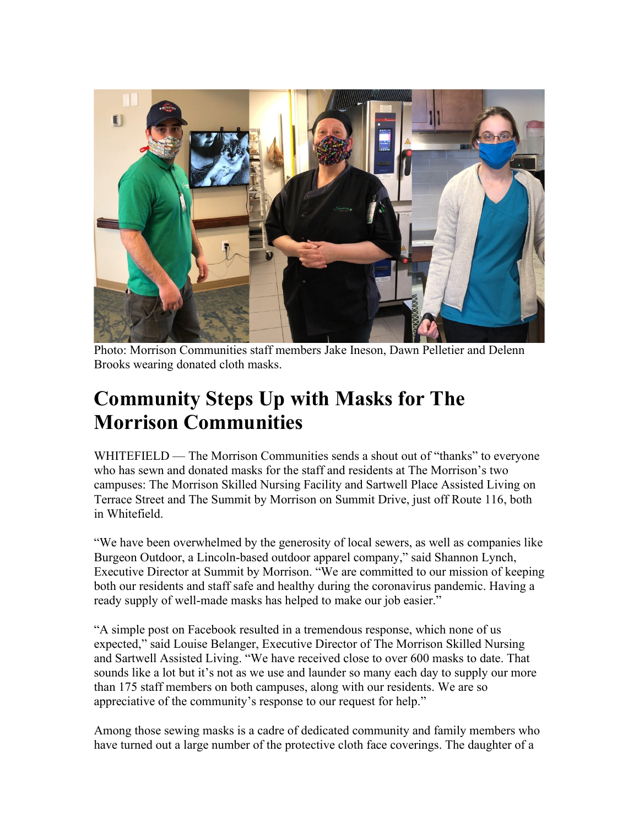

Photo: Morrison Communities staff members Jake Ineson, Dawn Pelletier and Delenn Brooks wearing donated cloth masks.

## **Community Steps Up with Masks for The Morrison Communities**

WHITEFIELD — The Morrison Communities sends a shout out of "thanks" to everyone who has sewn and donated masks for the staff and residents at The Morrison's two campuses: The Morrison Skilled Nursing Facility and Sartwell Place Assisted Living on Terrace Street and The Summit by Morrison on Summit Drive, just off Route 116, both in Whitefield.

"We have been overwhelmed by the generosity of local sewers, as well as companies like Burgeon Outdoor, a Lincoln-based outdoor apparel company," said Shannon Lynch, Executive Director at Summit by Morrison. "We are committed to our mission of keeping both our residents and staff safe and healthy during the coronavirus pandemic. Having a ready supply of well-made masks has helped to make our job easier."

"A simple post on Facebook resulted in a tremendous response, which none of us expected," said Louise Belanger, Executive Director of The Morrison Skilled Nursing and Sartwell Assisted Living. "We have received close to over 600 masks to date. That sounds like a lot but it's not as we use and launder so many each day to supply our more than 175 staff members on both campuses, along with our residents. We are so appreciative of the community's response to our request for help."

Among those sewing masks is a cadre of dedicated community and family members who have turned out a large number of the protective cloth face coverings. The daughter of a